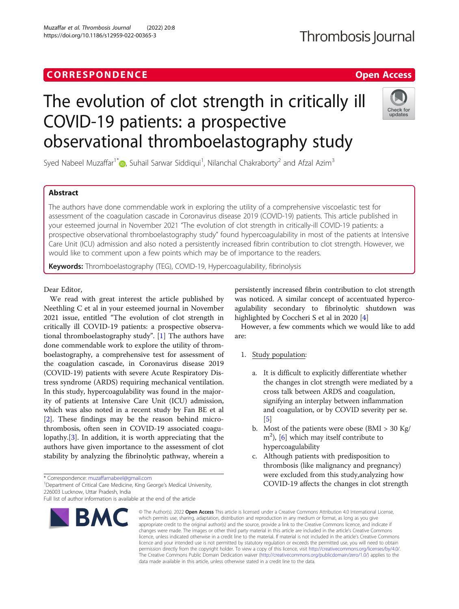Muzaffar et al. Thrombosis Journal (2022) 20:8 https://doi.org/10.1186/s12959-022-00365-3

# Thrombosis Journal

## The evolution of clot strength in critically ill COVID-19 patients: a prospective observational thromboelastography study



Syed Nabeel Muzaffar<sup>1[\\*](http://orcid.org/0000-0001-5643-7314)</sup> $\circledbullet$ , Suhail Sarwar Siddiqui<sup>1</sup>, Nilanchal Chakraborty<sup>2</sup> and Afzal Azim<sup>3</sup>

### Abstract

The authors have done commendable work in exploring the utility of a comprehensive viscoelastic test for assessment of the coagulation cascade in Coronavirus disease 2019 (COVID-19) patients. This article published in your esteemed journal in November 2021 "The evolution of clot strength in critically-ill COVID-19 patients: a prospective observational thromboelastography study" found hypercoagulability in most of the patients at Intensive Care Unit (ICU) admission and also noted a persistently increased fibrin contribution to clot strength. However, we would like to comment upon a few points which may be of importance to the readers.

Keywords: Thromboelastography (TEG), COVID-19, Hypercoagulability, fibrinolysis

#### Dear Editor,

We read with great interest the article published by Neethling C et al in your esteemed journal in November 2021 issue, entitled "The evolution of clot strength in critically ill COVID-19 patients: a prospective observational thromboelastography study". [\[1](#page-1-0)] The authors have done commendable work to explore the utility of thromboelastography, a comprehensive test for assessment of the coagulation cascade, in Coronavirus disease 2019 (COVID-19) patients with severe Acute Respiratory Distress syndrome (ARDS) requiring mechanical ventilation. In this study, hypercoagulability was found in the majority of patients at Intensive Care Unit (ICU) admission, which was also noted in a recent study by Fan BE et al [[2\]](#page-1-0). These findings may be the reason behind microthrombosis, often seen in COVID-19 associated coagulopathy.[\[3](#page-1-0)]. In addition, it is worth appreciating that the authors have given importance to the assessment of clot stability by analyzing the fibrinolytic pathway, wherein a

\* Correspondence: [muzaffarnabeel@gmail.com](mailto:muzaffarnabeel@gmail.com) <sup>1</sup>

BMC

<sup>1</sup>Department of Critical Care Medicine, King George's Medical University, 226003 Lucknow, Uttar Pradesh, India

persistently increased fibrin contribution to clot strength was noticed. A similar concept of accentuated hypercoagulability secondary to fibrinolytic shutdown was highlighted by Coccheri S et al in 2020 [\[4](#page-1-0)]

However, a few comments which we would like to add are:

- 1. Study population:
	- a. It is difficult to explicitly differentiate whether the changes in clot strength were mediated by a cross talk between ARDS and coagulation, signifying an interplay between inflammation and coagulation, or by COVID severity per se.  $\lceil 5 \rceil$
	- b. Most of the patients were obese (BMI  $>$  30 Kg/  $m<sup>2</sup>$ ), [\[6\]](#page-1-0) which may itself contribute to hypercoagulability
	- c. Although patients with predisposition to thrombosis (like malignancy and pregnancy) were excluded from this study,analyzing how COVID-19 affects the changes in clot strength

© The Author(s), 2022 **Open Access** This article is licensed under a Creative Commons Attribution 4.0 International License, which permits use, sharing, adaptation, distribution and reproduction in any medium or format, as long as you give appropriate credit to the original author(s) and the source, provide a link to the Creative Commons licence, and indicate if changes were made. The images or other third party material in this article are included in the article's Creative Commons licence, unless indicated otherwise in a credit line to the material. If material is not included in the article's Creative Commons licence and your intended use is not permitted by statutory regulation or exceeds the permitted use, you will need to obtain permission directly from the copyright holder. To view a copy of this licence, visit [http://creativecommons.org/licenses/by/4.0/.](http://creativecommons.org/licenses/by/4.0/) The Creative Commons Public Domain Dedication waiver [\(http://creativecommons.org/publicdomain/zero/1.0/](http://creativecommons.org/publicdomain/zero/1.0/)) applies to the data made available in this article, unless otherwise stated in a credit line to the data.

Full list of author information is available at the end of the article